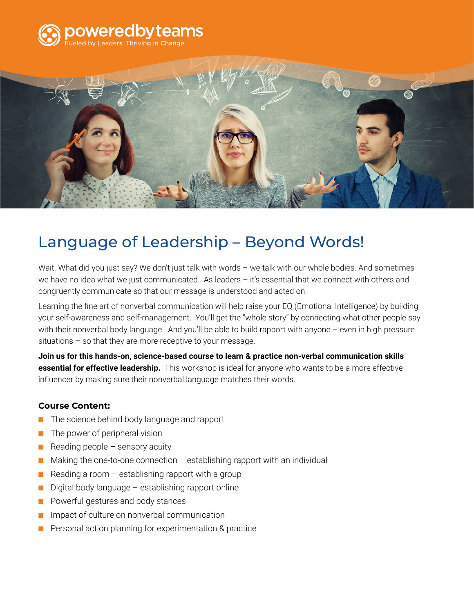



# Language of Leadership – Beyond Words!

Wait. What did you just say? We don't just talk with words - we talk with our whole bodies. And sometimes we have no idea what we just communicated. As leaders – it's essential that we connect with others and congruently communicate so that our message is understood and acted on.

Learning the fine art of nonverbal communication will help raise your EQ (Emotional Intelligence) by building your self-awareness and self-management. You'll get the "whole story" by connecting what other people say with their nonverbal body language. And you'll be able to build rapport with anyone - even in high pressure situations – so that they are more receptive to your message.

**Join us for this hands-on, science-based course to learn & practice non-verbal communication skills essential for effective leadership.** This workshop is ideal for anyone who wants to be a more effective influencer by making sure their nonverbal language matches their words.

## **Course Content:**

- The science behind body language and rapport
- The power of peripheral vision
- $\blacksquare$  Reading people sensory acuity
- $\blacksquare$  Making the one-to-one connection establishing rapport with an individual
- $\blacksquare$  Reading a room establishing rapport with a group
- Digital body language establishing rapport online
- Powerful gestures and body stances
- Impact of culture on nonverbal communication
- Personal action planning for experimentation & practice